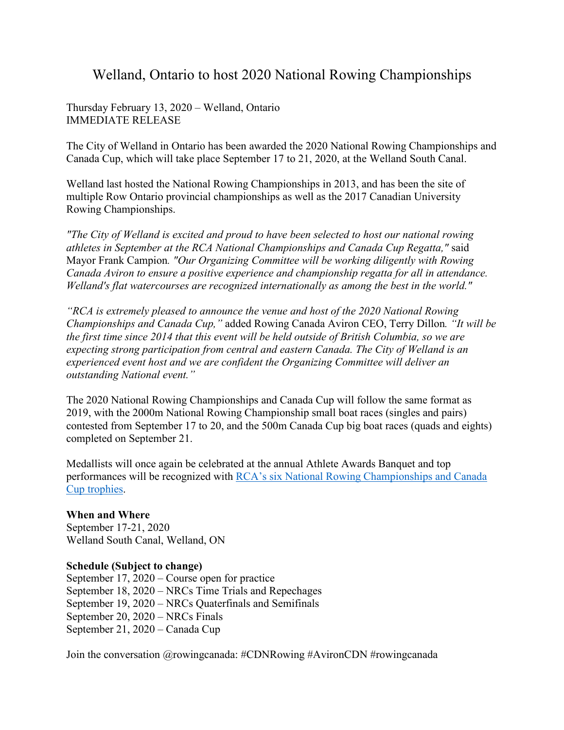## Welland, Ontario to host 2020 National Rowing Championships

Thursday February 13, 2020 – Welland, Ontario IMMEDIATE RELEASE

The City of Welland in Ontario has been awarded the 2020 National Rowing Championships and Canada Cup, which will take place September 17 to 21, 2020, at the Welland South Canal.

Welland last hosted the National Rowing Championships in 2013, and has been the site of multiple Row Ontario provincial championships as well as the 2017 Canadian University Rowing Championships.

*"The City of Welland is excited and proud to have been selected to host our national rowing athletes in September at the RCA National Championships and Canada Cup Regatta,"* said Mayor Frank Campion*. "Our Organizing Committee will be working diligently with Rowing Canada Aviron to ensure a positive experience and championship regatta for all in attendance. Welland's flat watercourses are recognized internationally as among the best in the world."* 

*"RCA is extremely pleased to announce the venue and host of the 2020 National Rowing Championships and Canada Cup,"* added Rowing Canada Aviron CEO, Terry Dillon*. "It will be the first time since 2014 that this event will be held outside of British Columbia, so we are expecting strong participation from central and eastern Canada. The City of Welland is an experienced event host and we are confident the Organizing Committee will deliver an outstanding National event."*

The 2020 National Rowing Championships and Canada Cup will follow the same format as 2019, with the 2000m National Rowing Championship small boat races (singles and pairs) contested from September 17 to 20, and the 500m Canada Cup big boat races (quads and eights) completed on September 21.

Medallists will once again be celebrated at the annual Athlete Awards Banquet and top performances will be recognized with [RCA's six National Rowing Championships and Canada](https://rowingcanada.org/six-new-trophies-to-be-awarded-at-rca-national-rowing-championships/)  [Cup trophies.](https://rowingcanada.org/six-new-trophies-to-be-awarded-at-rca-national-rowing-championships/)

## **When and Where**

September 17-21, 2020 Welland South Canal, Welland, ON

## **Schedule (Subject to change)**

September 17, 2020 – Course open for practice September 18, 2020 – NRCs Time Trials and Repechages September 19, 2020 – NRCs Quaterfinals and Semifinals September 20, 2020 – NRCs Finals September 21, 2020 – Canada Cup

Join the conversation @rowingcanada: #CDNRowing #AvironCDN #rowingcanada